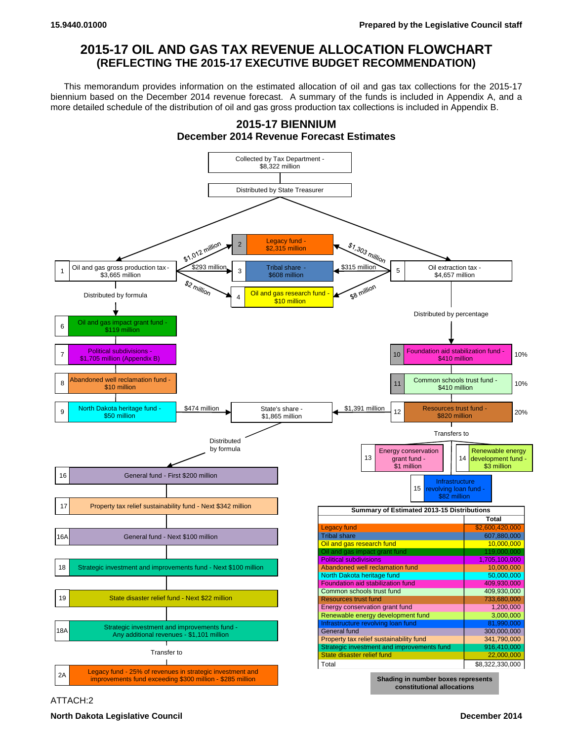## **2015-17 OIL AND GAS TAX REVENUE ALLOCATION FLOWCHART (REFLECTING THE 2015-17 EXECUTIVE BUDGET RECOMMENDATION)**

This memorandum provides information on the estimated allocation of oil and gas tax collections for the 2015-17 biennium based on the December 2014 revenue forecast. A summary of the funds is included in Appendix A, and a more detailed schedule of the distribution of oil and gas gross production tax collections is included in Appendix B.



ATTACH:2

**North Dakota Legislative Council December 2014**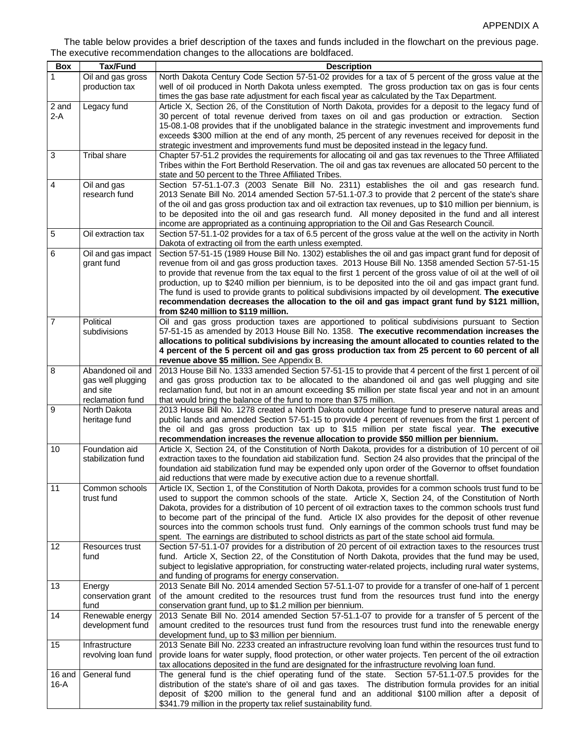## The table below provides a brief description of the taxes and funds included in the flowchart on the previous page. The executive recommendation changes to the allocations are boldfaced.

| <b>Box</b>      | <b>Tax/Fund</b>                      | <b>Description</b>                                                                                                                                                                                             |
|-----------------|--------------------------------------|----------------------------------------------------------------------------------------------------------------------------------------------------------------------------------------------------------------|
|                 | Oil and gas gross                    | North Dakota Century Code Section 57-51-02 provides for a tax of 5 percent of the gross value at the                                                                                                           |
|                 | production tax                       | well of oil produced in North Dakota unless exempted. The gross production tax on gas is four cents                                                                                                            |
|                 |                                      | times the gas base rate adjustment for each fiscal year as calculated by the Tax Department.                                                                                                                   |
| 2 and           | Legacy fund                          | Article X, Section 26, of the Constitution of North Dakota, provides for a deposit to the legacy fund of                                                                                                       |
| $2-A$           |                                      | 30 percent of total revenue derived from taxes on oil and gas production or extraction. Section                                                                                                                |
|                 |                                      | 15-08.1-08 provides that if the unobligated balance in the strategic investment and improvements fund                                                                                                          |
|                 |                                      | exceeds \$300 million at the end of any month, 25 percent of any revenues received for deposit in the                                                                                                          |
| $\mathbf{3}$    | Tribal share                         | strategic investment and improvements fund must be deposited instead in the legacy fund.<br>Chapter 57-51.2 provides the requirements for allocating oil and gas tax revenues to the Three Affiliated          |
|                 |                                      | Tribes within the Fort Berthold Reservation. The oil and gas tax revenues are allocated 50 percent to the                                                                                                      |
|                 |                                      | state and 50 percent to the Three Affiliated Tribes.                                                                                                                                                           |
| 4               | Oil and gas                          | Section 57-51.1-07.3 (2003 Senate Bill No. 2311) establishes the oil and gas research fund.                                                                                                                    |
|                 | research fund                        | 2013 Senate Bill No. 2014 amended Section 57-51.1-07.3 to provide that 2 percent of the state's share                                                                                                          |
|                 |                                      | of the oil and gas gross production tax and oil extraction tax revenues, up to \$10 million per biennium, is                                                                                                   |
|                 |                                      | to be deposited into the oil and gas research fund. All money deposited in the fund and all interest                                                                                                           |
|                 |                                      | income are appropriated as a continuing appropriation to the Oil and Gas Research Council.                                                                                                                     |
| 5               | Oil extraction tax                   | Section 57-51.1-02 provides for a tax of 6.5 percent of the gross value at the well on the activity in North                                                                                                   |
|                 |                                      | Dakota of extracting oil from the earth unless exempted.                                                                                                                                                       |
| 6               | Oil and gas impact<br>grant fund     | Section 57-51-15 (1989 House Bill No. 1302) establishes the oil and gas impact grant fund for deposit of<br>revenue from oil and gas gross production taxes. 2013 House Bill No. 1358 amended Section 57-51-15 |
|                 |                                      | to provide that revenue from the tax equal to the first 1 percent of the gross value of oil at the well of oil                                                                                                 |
|                 |                                      | production, up to \$240 million per biennium, is to be deposited into the oil and gas impact grant fund.                                                                                                       |
|                 |                                      | The fund is used to provide grants to political subdivisions impacted by oil development. The executive                                                                                                        |
|                 |                                      | recommendation decreases the allocation to the oil and gas impact grant fund by \$121 million,                                                                                                                 |
|                 |                                      | from \$240 million to \$119 million.                                                                                                                                                                           |
| $\overline{7}$  | Political                            | Oil and gas gross production taxes are apportioned to political subdivisions pursuant to Section                                                                                                               |
|                 | subdivisions                         | 57-51-15 as amended by 2013 House Bill No. 1358. The executive recommendation increases the                                                                                                                    |
|                 |                                      | allocations to political subdivisions by increasing the amount allocated to counties related to the<br>4 percent of the 5 percent oil and gas gross production tax from 25 percent to 60 percent of all        |
|                 |                                      | revenue above \$5 million. See Appendix B.                                                                                                                                                                     |
| 8               | Abandoned oil and                    | 2013 House Bill No. 1333 amended Section 57-51-15 to provide that 4 percent of the first 1 percent of oil                                                                                                      |
|                 | gas well plugging                    | and gas gross production tax to be allocated to the abandoned oil and gas well plugging and site                                                                                                               |
|                 | and site                             | reclamation fund, but not in an amount exceeding \$5 million per state fiscal year and not in an amount                                                                                                        |
|                 | reclamation fund                     | that would bring the balance of the fund to more than \$75 million.                                                                                                                                            |
| 9               | North Dakota                         | 2013 House Bill No. 1278 created a North Dakota outdoor heritage fund to preserve natural areas and                                                                                                            |
|                 | heritage fund                        | public lands and amended Section 57-51-15 to provide 4 percent of revenues from the first 1 percent of                                                                                                         |
|                 |                                      | the oil and gas gross production tax up to \$15 million per state fiscal year. The executive<br>recommendation increases the revenue allocation to provide \$50 million per biennium.                          |
| 10              | Foundation aid                       | Article X, Section 24, of the Constitution of North Dakota, provides for a distribution of 10 percent of oil                                                                                                   |
|                 | stabilization fund                   | extraction taxes to the foundation aid stabilization fund. Section 24 also provides that the principal of the                                                                                                  |
|                 |                                      | foundation aid stabilization fund may be expended only upon order of the Governor to offset foundation                                                                                                         |
|                 |                                      | aid reductions that were made by executive action due to a revenue shortfall.                                                                                                                                  |
| $\overline{11}$ | Common schools                       | Article IX, Section 1, of the Constitution of North Dakota, provides for a common schools trust fund to be                                                                                                     |
|                 | trust fund                           | used to support the common schools of the state. Article X, Section 24, of the Constitution of North                                                                                                           |
|                 |                                      | Dakota, provides for a distribution of 10 percent of oil extraction taxes to the common schools trust fund                                                                                                     |
|                 |                                      | to become part of the principal of the fund. Article IX also provides for the deposit of other revenue<br>sources into the common schools trust fund. Only earnings of the common schools trust fund may be    |
|                 |                                      | spent. The earnings are distributed to school districts as part of the state school aid formula.                                                                                                               |
| 12              | Resources trust                      | Section 57-51.1-07 provides for a distribution of 20 percent of oil extraction taxes to the resources trust                                                                                                    |
|                 | fund                                 | fund. Article X, Section 22, of the Constitution of North Dakota, provides that the fund may be used,                                                                                                          |
|                 |                                      | subject to legislative appropriation, for constructing water-related projects, including rural water systems,                                                                                                  |
|                 |                                      | and funding of programs for energy conservation.                                                                                                                                                               |
| 13              | Energy                               | 2013 Senate Bill No. 2014 amended Section 57-51.1-07 to provide for a transfer of one-half of 1 percent                                                                                                        |
|                 | conservation grant                   | of the amount credited to the resources trust fund from the resources trust fund into the energy                                                                                                               |
|                 | fund                                 | conservation grant fund, up to \$1.2 million per biennium.                                                                                                                                                     |
| 14              | Renewable energy<br>development fund | 2013 Senate Bill No. 2014 amended Section 57-51.1-07 to provide for a transfer of 5 percent of the<br>amount credited to the resources trust fund from the resources trust fund into the renewable energy      |
|                 |                                      | development fund, up to \$3 million per biennium.                                                                                                                                                              |
| 15              | Infrastructure                       | 2013 Senate Bill No. 2233 created an infrastructure revolving loan fund within the resources trust fund to                                                                                                     |
|                 | revolving loan fund                  | provide loans for water supply, flood protection, or other water projects. Ten percent of the oil extraction                                                                                                   |
|                 |                                      | tax allocations deposited in the fund are designated for the infrastructure revolving loan fund.                                                                                                               |
| 16 and          | General fund                         | The general fund is the chief operating fund of the state. Section 57-51.1-07.5 provides for the                                                                                                               |
| $16-A$          |                                      | distribution of the state's share of oil and gas taxes. The distribution formula provides for an initial                                                                                                       |
|                 |                                      | deposit of \$200 million to the general fund and an additional \$100 million after a deposit of                                                                                                                |
|                 |                                      | \$341.79 million in the property tax relief sustainability fund.                                                                                                                                               |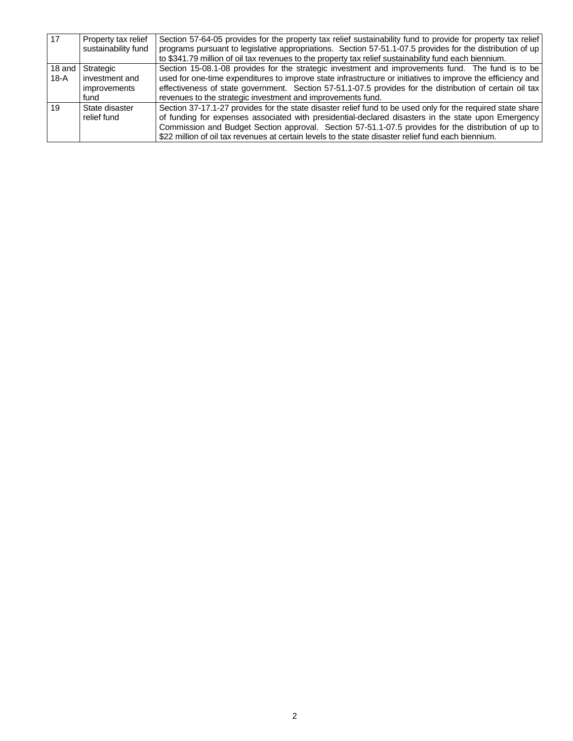| 17     | Property tax relief<br>sustainability fund | Section 57-64-05 provides for the property tax relief sustainability fund to provide for property tax relief<br>programs pursuant to legislative appropriations. Section 57-51.1-07.5 provides for the distribution of up |
|--------|--------------------------------------------|---------------------------------------------------------------------------------------------------------------------------------------------------------------------------------------------------------------------------|
|        |                                            |                                                                                                                                                                                                                           |
|        |                                            | to \$341.79 million of oil tax revenues to the property tax relief sustainability fund each biennium.                                                                                                                     |
|        | 18 and Strategic                           | Section 15-08.1-08 provides for the strategic investment and improvements fund. The fund is to be                                                                                                                         |
| $18-A$ | investment and                             | used for one-time expenditures to improve state infrastructure or initiatives to improve the efficiency and                                                                                                               |
|        | improvements                               | effectiveness of state government. Section 57-51.1-07.5 provides for the distribution of certain oil tax                                                                                                                  |
|        | fund                                       | revenues to the strategic investment and improvements fund.                                                                                                                                                               |
| 19     | State disaster                             | Section 37-17.1-27 provides for the state disaster relief fund to be used only for the required state share                                                                                                               |
|        | relief fund                                | of funding for expenses associated with presidential-declared disasters in the state upon Emergency                                                                                                                       |
|        |                                            | Commission and Budget Section approval. Section 57-51.1-07.5 provides for the distribution of up to                                                                                                                       |
|        |                                            | \$22 million of oil tax revenues at certain levels to the state disaster relief fund each biennium.                                                                                                                       |